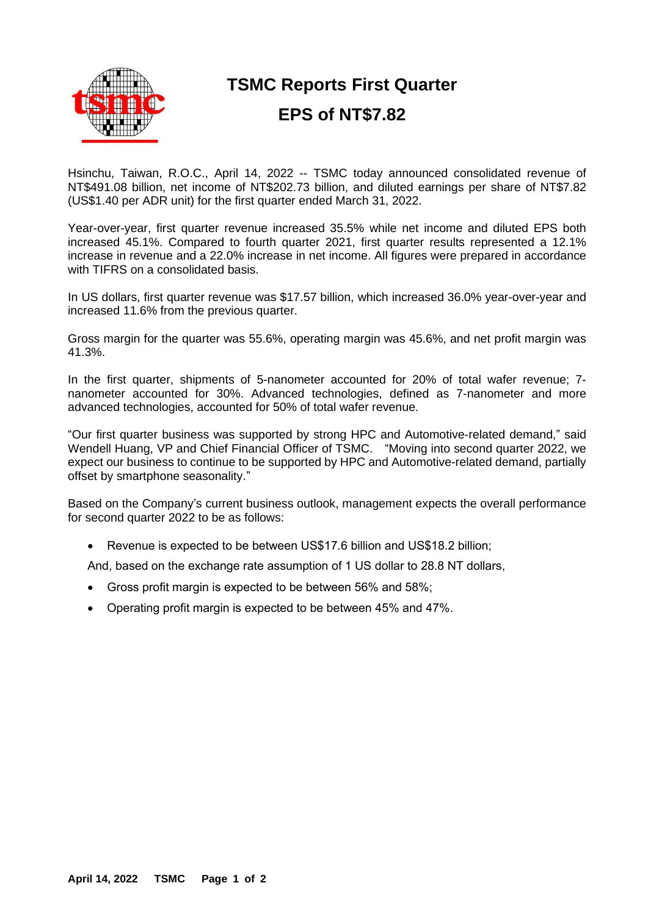

# **TSMC Reports First Quarter**

# **EPS of NT\$7.82**

Hsinchu, Taiwan, R.O.C., April 14, 2022 -- TSMC today announced consolidated revenue of NT\$491.08 billion, net income of NT\$202.73 billion, and diluted earnings per share of NT\$7.82 (US\$1.40 per ADR unit) for the first quarter ended March 31, 2022.

Year-over-year, first quarter revenue increased 35.5% while net income and diluted EPS both increased 45.1%. Compared to fourth quarter 2021, first quarter results represented a 12.1% increase in revenue and a 22.0% increase in net income. All figures were prepared in accordance with TIFRS on a consolidated basis.

In US dollars, first quarter revenue was \$17.57 billion, which increased 36.0% year-over-year and increased 11.6% from the previous quarter.

Gross margin for the quarter was 55.6%, operating margin was 45.6%, and net profit margin was 41.3%.

In the first quarter, shipments of 5-nanometer accounted for 20% of total wafer revenue; 7nanometer accounted for 30%. Advanced technologies, defined as 7-nanometer and more advanced technologies, accounted for 50% of total wafer revenue.

"Our first quarter business was supported by strong HPC and Automotive-related demand," said Wendell Huang, VP and Chief Financial Officer of TSMC. "Moving into second quarter 2022, we expect our business to continue to be supported by HPC and Automotive-related demand, partially offset by smartphone seasonality."

Based on the Company's current business outlook, management expects the overall performance for second quarter 2022 to be as follows:

• Revenue is expected to be between US\$17.6 billion and US\$18.2 billion;

And, based on the exchange rate assumption of 1 US dollar to 28.8 NT dollars,

- Gross profit margin is expected to be between 56% and 58%;
- Operating profit margin is expected to be between 45% and 47%.